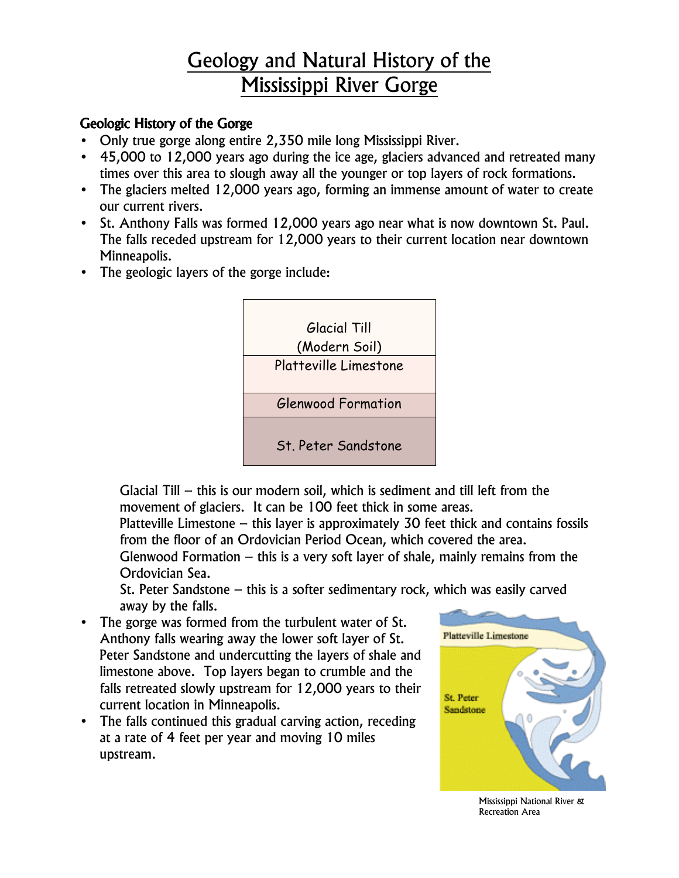# Geology and Natural History of the Mississippi River Gorge

### Geologic History of the Gorge

- Only true gorge along entire 2,350 mile long Mississippi River.
- 45,000 to 12,000 years ago during the ice age, glaciers advanced and retreated many times over this area to slough away all the younger or top layers of rock formations.
- The glaciers melted 12,000 years ago, forming an immense amount of water to create our current rivers.
- St. Anthony Falls was formed 12,000 years ago near what is now downtown St. Paul. The falls receded upstream for 12,000 years to their current location near downtown Minneapolis.
- The geologic layers of the gorge include:



Glacial Till – this is our modern soil, which is sediment and till left from the movement of glaciers. It can be 100 feet thick in some areas.

Platteville Limestone – this layer is approximately 30 feet thick and contains fossils from the floor of an Ordovician Period Ocean, which covered the area.

Glenwood Formation – this is a very soft layer of shale, mainly remains from the Ordovician Sea.

St. Peter Sandstone – this is a softer sedimentary rock, which was easily carved away by the falls.

- The gorge was formed from the turbulent water of St. Anthony falls wearing away the lower soft layer of St. Peter Sandstone and undercutting the layers of shale and limestone above. Top layers began to crumble and the falls retreated slowly upstream for 12,000 years to their current location in Minneapolis.
- The falls continued this gradual carving action, receding at a rate of 4 feet per year and moving 10 miles upstream.



Mississippi National River & Recreation Area